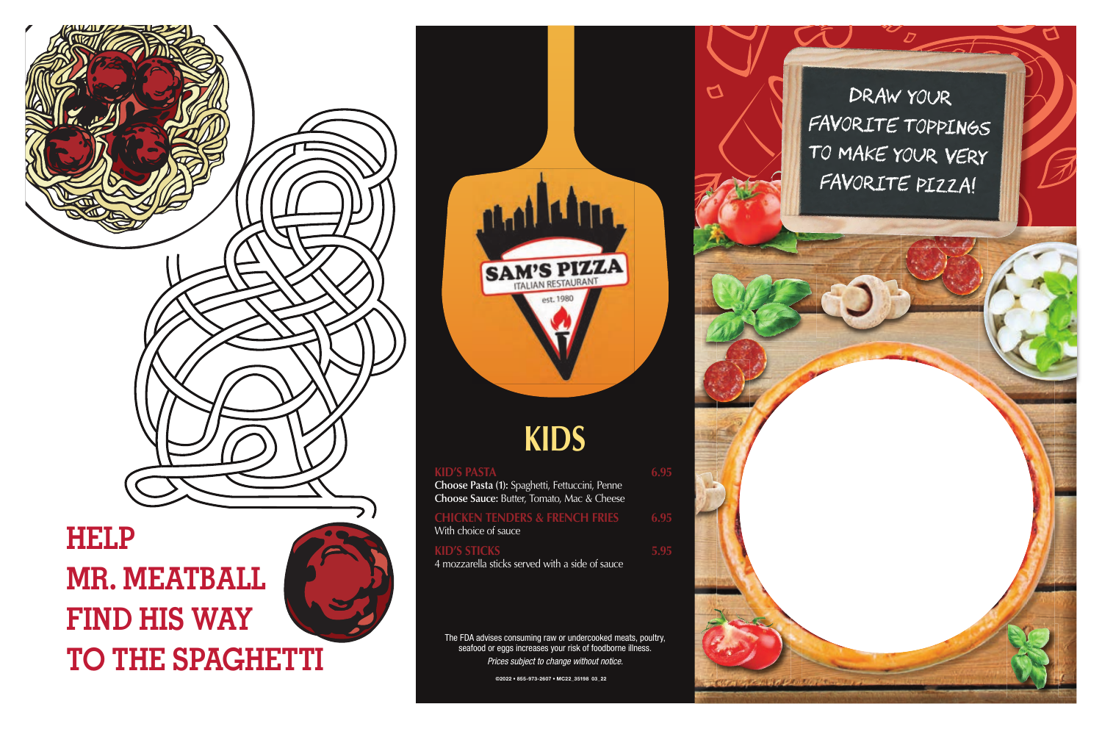## **KID'S PASTA 6.95 Choose Pasta (1):** Spaghetti, Fettuccini, Penne **Choose Sauce:** Butter, Tomato, Mac & Cheese **CHICKEN TENDERS & FRENCH FRIES 6.95** With choice of sauce **KID'S STICKS** 5.95 4 mozzarella sticks served with a side of sauce

## **KIDS**

The FDA advises consuming raw or undercooked meats, poultry, seafood or eggs increases your risk of foodborne illness. *Prices subject to change without notice.*



## **HELP MR. MEATBALL FIND HIS WAY TO THE SPAGHETTI**





 $\overline{a}$ 

Draw your FAVORITE TOPPINGS TO MAKE YOUR VERY favorite pizza!

©2022 • 855-973-2607 • MC22\_35198 03\_22